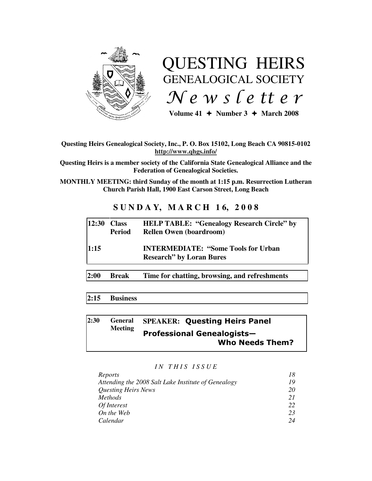

# QUESTING HEIRS GENEALOGICAL SOCIETY  $Ne$  w s letter

Volume  $41 \div$  Number  $3 \div$  March 2008

## **Questing Heirs Genealogical Society, Inc., P. O. Box 15102, Long Beach CA 90815-0102 http://www.qhgs.info/**

**Questing Heirs is a member society of the California State Genealogical Alliance and the Federation of Genealogical Societies.** 

**MONTHLY MEETING: third Sunday of the month at 1:15 p.m. Resurrection Lutheran Church Parish Hall, 1900 East Carson Street, Long Beach** 

# **S U N D A Y, M A R C H 1 6, 2 0 0 8**

|      | $12:30$ Class<br>Period | <b>HELP TABLE: "Genealogy Research Circle" by</b><br><b>Rellen Owen (boardroom)</b> |
|------|-------------------------|-------------------------------------------------------------------------------------|
| 1:15 |                         | <b>INTERMEDIATE: "Some Tools for Urban</b><br><b>Research</b> " by Loran Bures      |
| 2:00 | <b>Break</b>            | Time for chatting, browsing, and refreshments                                       |

# **2:15 Business**

#### **2:30 General Meeting SPEAKER:** Questing Heirs Panel Professional Genealogists— Who Needs Them?

*I N T H I S I S S U E* 

| Reports                                             | 18 |
|-----------------------------------------------------|----|
| Attending the 2008 Salt Lake Institute of Genealogy | 19 |
| <b>Questing Heirs News</b>                          | 20 |
| <i>Methods</i>                                      | 21 |
| Of Interest                                         | 22 |
| On the Web                                          | 23 |
| Calendar                                            | 24 |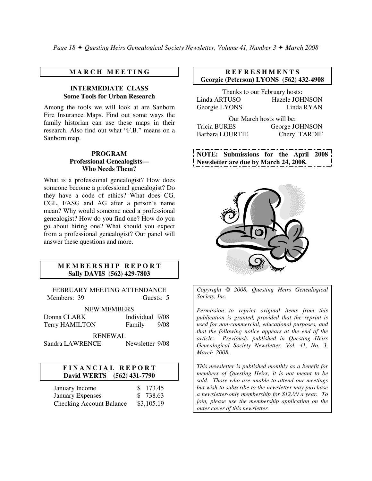## **M A R C H M E E T I N G**

#### **INTERMEDIATE CLASS Some Tools for Urban Research**

Among the tools we will look at are Sanborn Fire Insurance Maps. Find out some ways the family historian can use these maps in their research. Also find out what "F.B." means on a Sanborn map.

#### **PROGRAM Professional Genealogists— Who Needs Them?**

What is a professional genealogist? How does someone become a professional genealogist? Do they have a code of ethics? What does CG, CGL, FASG and AG after a person's name mean? Why would someone need a professional genealogist? How do you find one? How do you go about hiring one? What should you expect from a professional genealogist? Our panel will answer these questions and more.

#### **M E M B E R S H I P R E P O R T Sally DAVIS (562) 429-7803**

FEBRUARY MEETING ATTENDANCE Members: 39 Guests: 5

NEW MEMBERS

| Donna CLARK    | Individual 9/08 |      |
|----------------|-----------------|------|
| Terry HAMILTON | Family          | 9/08 |

RENEWAL

Sandra LAWRENCE Newsletter 9/08

#### **F I N A N C I A L R E P O R T David WERTS (562) 431-7790**

| January Income                  | \$173.45   |
|---------------------------------|------------|
| <b>January Expenses</b>         | \$738.63   |
| <b>Checking Account Balance</b> | \$3,105.19 |

#### **R E F R E S H M E N T S Georgie (Peterson) LYONS (562) 432-4908**

|               | Thanks to our February hosts: |
|---------------|-------------------------------|
| Linda ARTUSO  | Hazele JOHNSON                |
| Georgie LYONS | Linda RYAN                    |

Our March hosts will be: Tricia BURES George JOHNSON Barbara LOURTIE Cheryl TARDIF

**NOTE: Submissions for the April 2008 Newsletter are due by March 24, 2008.** 



*Copyright* © *2008, Questing Heirs Genealogical Society, Inc.* 

*Permission to reprint original items from this publication is granted, provided that the reprint is used for non-commercial, educational purposes, and that the following notice appears at the end of the article: Previously published in Questing Heirs Genealogical Society Newsletter, Vol. 41, No. 3, March 2008.* 

*This newsletter is published monthly as a benefit for members of Questing Heirs; it is not meant to be sold. Those who are unable to attend our meetings but wish to subscribe to the newsletter may purchase a newsletter-only membership for \$12.00 a year. To join, please use the membership application on the outer cover of this newsletter.*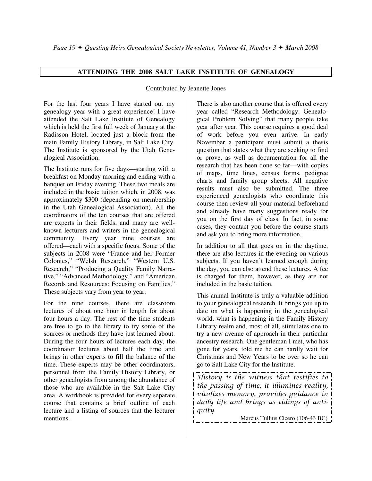# **ATTENDING THE 2008 SALT LAKE INSTITUTE OF GENEALOGY**

Contributed by Jeanette Jones

For the last four years I have started out my genealogy year with a great experience! I have attended the Salt Lake Institute of Genealogy which is held the first full week of January at the Radisson Hotel, located just a block from the main Family History Library, in Salt Lake City. The Institute is sponsored by the Utah Genealogical Association.

The Institute runs for five days—starting with a breakfast on Monday morning and ending with a banquet on Friday evening. These two meals are included in the basic tuition which, in 2008, was approximately \$300 (depending on membership in the Utah Genealogical Association). All the coordinators of the ten courses that are offered are experts in their fields, and many are wellknown lecturers and writers in the genealogical community. Every year nine courses are offered—each with a specific focus. Some of the subjects in 2008 were "France and her Former Colonies," "Welsh Research," "Western U.S. Research," "Producing a Quality Family Narrative," "Advanced Methodology," and "American Records and Resources: Focusing on Families." These subjects vary from year to year.

For the nine courses, there are classroom lectures of about one hour in length for about four hours a day. The rest of the time students are free to go to the library to try some of the sources or methods they have just learned about. During the four hours of lectures each day, the coordinator lectures about half the time and brings in other experts to fill the balance of the time. These experts may be other coordinators, personnel from the Family History Library, or other genealogists from among the abundance of those who are available in the Salt Lake City area. A workbook is provided for every separate course that contains a brief outline of each lecture and a listing of sources that the lecturer mentions.

There is also another course that is offered every year called "Research Methodology: Genealogical Problem Solving" that many people take year after year. This course requires a good deal of work before you even arrive. In early November a participant must submit a thesis question that states what they are seeking to find or prove, as well as documentation for all the research that has been done so far—with copies of maps, time lines, census forms, pedigree charts and family group sheets. All negative results must also be submitted. The three experienced genealogists who coordinate this course then review all your material beforehand and already have many suggestions ready for you on the first day of class. In fact, in some cases, they contact you before the course starts and ask you to bring more information.

In addition to all that goes on in the daytime, there are also lectures in the evening on various subjects. If you haven't learned enough during the day, you can also attend these lectures. A fee is charged for them, however, as they are not included in the basic tuition.

This annual Institute is truly a valuable addition to your genealogical research. It brings you up to date on what is happening in the genealogical world, what is happening in the Family History Library realm and, most of all, stimulates one to try a new avenue of approach in their particular ancestry research. One gentleman I met, who has gone for years, told me he can hardly wait for Christmas and New Years to be over so he can go to Salt Lake City for the Institute.

History is the witness that testifies to the passing of time; it illumines reality, vitalizes memory, provides guidance in daily life and brings us tidings of antiquity.

Marcus Tullius Cicero (106-43 BC)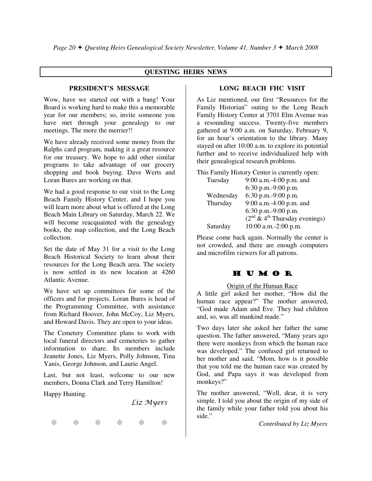# **QUESTING HEIRS NEWS**

## **PRESIDENT'S MESSAGE**

Wow, have we started out with a bang! Your Board is working hard to make this a memorable year for our members; so, invite someone you have met through your genealogy to our meetings. The more the merrier!!

We have already received some money from the Ralphs card program, making it a great resource for our treasury. We hope to add other similar programs to take advantage of our grocery shopping and book buying. Dave Werts and Loran Bures are working on that.

We had a good response to our visit to the Long Beach Family History Center, and I hope you will learn more about what is offered at the Long Beach Main Library on Saturday, March 22. We will become reacquainted with the genealogy books, the map collection, and the Long Beach collection.

Set the date of May 31 for a visit to the Long Beach Historical Society to learn about their resources for the Long Beach area. The society is now settled in its new location at 4260 Atlantic Avenue.

We have set up committees for some of the officers and for projects. Loran Bures is head of the Programming Committee, with assistance from Richard Hoover, John McCoy, Liz Myers, and Howard Davis. They are open to your ideas.

The Cemetery Committee plans to work with local funeral directors and cemeteries to gather information to share. Its members include Jeanette Jones, Liz Myers, Polly Johnson, Tina Yanis, George Johnson, and Laurie Angel.

Last, but not least, welcome to our new members, Donna Clark and Terry Hamilton!

Happy Hunting.

Liz Myers

·舟 + 1 击 ← 由 ← 由 ⊕

# **LONG BEACH FHC VISIT**

As Liz mentioned, our first "Resources for the Family Historian" outing to the Long Beach Family History Center at 3701 Elm Avenue was a resounding success. Twenty-five members gathered at 9:00 a.m. on Saturday, February 9, for an hour's orientation to the library. Many stayed on after 10:00 a.m. to explore its potential further and to receive individualized help with their genealogical research problems.

This Family History Center is currently open:

| Tuesday   | 9:00 a.m.-4:00 p.m. and         |
|-----------|---------------------------------|
|           | 6:30 p.m.-9:00 p.m.             |
| Wednesday | 6:30 p.m.-9:00 p.m.             |
| Thursday  | 9:00 a.m.-4:00 p.m. and         |
|           | 6:30 p.m.-9:00 p.m.             |
|           | $(2nd & 4th Thursday evenings)$ |
| Saturday  | 10:00 a.m.-2:00 p.m.            |
|           |                                 |

Please come back again. Normally the center is not crowded, and there are enough computers and microfilm viewers for all patrons.

# H U M O R

#### Origin of the Human Race

A little girl asked her mother, "How did the human race appear?" The mother answered, "God made Adam and Eve. They had children and, so, was all mankind made."

Two days later she asked her father the same question. The father answered, "Many years ago there were monkeys from which the human race was developed." The confused girl returned to her mother and said, "Mom, how is it possible that you told me the human race was created by God, and Papa says it was developed from monkeys?"

The mother answered, "Well, dear, it is very simple. I told you about the origin of my side of the family while your father told you about his side."

*Contributed by Liz Myers*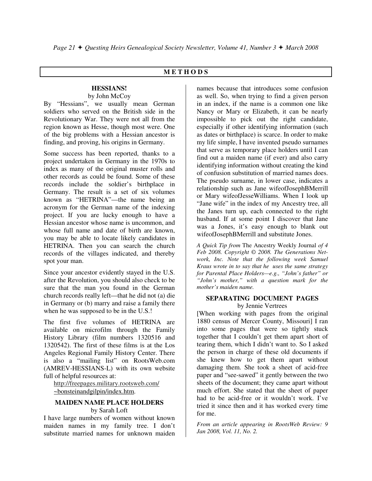#### **M E T H O D S**

# **HESSIANS!**

#### by John McCoy

By "Hessians", we usually mean German soldiers who served on the British side in the Revolutionary War. They were not all from the region known as Hesse, though most were. One of the big problems with a Hessian ancestor is finding, and proving, his origins in Germany.

Some success has been reported, thanks to a project undertaken in Germany in the 1970s to index as many of the original muster rolls and other records as could be found. Some of these records include the soldier's birthplace in Germany. The result is a set of six volumes known as "HETRINA"—the name being an acronym for the German name of the indexing project. If you are lucky enough to have a Hessian ancestor whose name is uncommon, and whose full name and date of birth are known, you may be able to locate likely candidates in HETRINA. Then you can search the church records of the villages indicated, and thereby spot your man.

Since your ancestor evidently stayed in the U.S. after the Revolution, you should also check to be sure that the man you found in the German church records really left—that he did not (a) die in Germany or (b) marry and raise a family there when he was supposed to be in the U.S.!

The first five volumes of HETRINA are available on microfilm through the Family History Library (film numbers 1320516 and 1320542). The first of these films is at the Los Angeles Regional Family History Center. There is also a "mailing list" on RootsWeb.com (AMREV-HESSIANS-L) with its own website full of helpful resources at:

 http://freepages.military.rootsweb.com/ ~bonsteinandgilpin/index.htm.

#### **MAIDEN NAME PLACE HOLDERS**

by Sarah Loft

I have large numbers of women without known maiden names in my family tree. I don't substitute married names for unknown maiden

names because that introduces some confusion as well. So, when trying to find a given person in an index, if the name is a common one like Nancy or Mary or Elizabeth, it can be nearly impossible to pick out the right candidate, especially if other identifying information (such as dates or birthplace) is scarce. In order to make my life simple, I have invented pseudo surnames that serve as temporary place holders until I can find out a maiden name (if ever) and also carry identifying information without creating the kind of confusion substitution of married names does. The pseudo surname, in lower case, indicates a relationship such as Jane wifeofJosephBMerrill or Mary wifeofJesseWilliams. When I look up "Jane wife" in the index of my Ancestry tree, all the Janes turn up, each connected to the right husband. If at some point I discover that Jane was a Jones, it's easy enough to blank out wifeofJosephBMerrill and substitute Jones.

*A Quick Tip from* The Ancestry Weekly Journal *of 4 Feb 2008. Copyright © 2008. The Generations Network, Inc. Note that the following week Samuel Kraus wrote in to say that he uses the same strategy for Parental Place Holders—e.g., "John's father" or "John's mother," with a question mark for the mother's maiden name.* 

#### **SEPARATING DOCUMENT PAGES**  by Jennie Vertrees

[When working with pages from the original 1880 census of Mercer County, Missouri] I ran into some pages that were so tightly stuck together that I couldn't get them apart short of tearing them, which I didn't want to. So I asked the person in charge of these old documents if she knew how to get them apart without damaging them. She took a sheet of acid-free paper and "see-sawed" it gently between the two sheets of the document; they came apart without much effort. She stated that the sheet of paper had to be acid-free or it wouldn't work. I've tried it since then and it has worked every time for me.

*From an article appearing in RootsWeb Review: 9 Jan 2008, Vol. 11, No. 2.*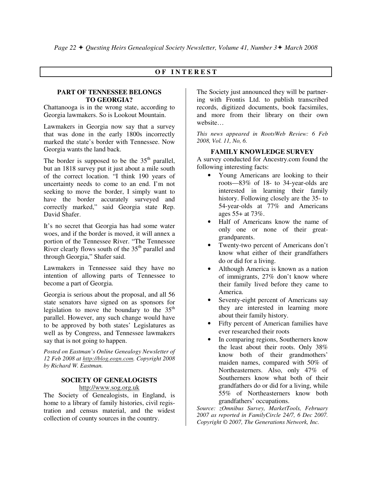# **O F I N T E R E S T**

#### **PART OF TENNESSEE BELONGS TO GEORGIA?**

Chattanooga is in the wrong state, according to Georgia lawmakers. So is Lookout Mountain.

Lawmakers in Georgia now say that a survey that was done in the early 1800s incorrectly marked the state's border with Tennessee. Now Georgia wants the land back.

The border is supposed to be the  $35<sup>th</sup>$  parallel, but an 1818 survey put it just about a mile south of the correct location. "I think 190 years of uncertainty needs to come to an end. I'm not seeking to move the border, I simply want to have the border accurately surveyed and correctly marked," said Georgia state Rep. David Shafer.

It's no secret that Georgia has had some water woes, and if the border is moved, it will annex a portion of the Tennessee River. "The Tennessee River clearly flows south of the  $35<sup>th</sup>$  parallel and through Georgia," Shafer said.

Lawmakers in Tennessee said they have no intention of allowing parts of Tennessee to become a part of Georgia.

Georgia is serious about the proposal, and all 56 state senators have signed on as sponsors for legislation to move the boundary to the  $35<sup>th</sup>$ parallel. However, any such change would have to be approved by both states' Legislatures as well as by Congress, and Tennessee lawmakers say that is not going to happen.

*Posted on Eastman's Online Genealogy Newsletter of 12 Feb 2008 at http://blog.eogn.com. Copyright 2008 by Richard W. Eastman.* 

#### **SOCIETY OF GENEALOGISTS**

http://www.sog.org.uk

The Society of Genealogists, in England, is home to a library of family histories, civil registration and census material, and the widest collection of county sources in the country.

The Society just announced they will be partnering with Frontis Ltd. to publish transcribed records, digitized documents, book facsimiles, and more from their library on their own website…

*This news appeared in RootsWeb Review: 6 Feb 2008, Vol. 11, No, 6.* 

#### **FAMILY KNOWLEDGE SURVEY**

A survey conducted for Ancestry.com found the following interesting facts:

- Young Americans are looking to their roots—83% of 18- to 34-year-olds are interested in learning their family history. Following closely are the 35- to 54-year-olds at 77% and Americans ages 55+ at 73%.
- Half of Americans know the name of only one or none of their greatgrandparents.
- Twenty-two percent of Americans don't know what either of their grandfathers do or did for a living.
- Although America is known as a nation of immigrants, 27% don't know where their family lived before they came to America.
- Seventy-eight percent of Americans say they are interested in learning more about their family history.
- Fifty percent of American families have ever researched their roots
- In comparing regions, Southerners know the least about their roots. Only 38% know both of their grandmothers' maiden names, compared with 50% of Northeasterners. Also, only 47% of Southerners know what both of their grandfathers do or did for a living, while 55% of Northeasterners know both grandfathers' occupations.

*Source: zOmnibus Survey, MarketTools, February 2007 as reported in FamilyCircle 24/7, 6 Dec 2007. Copyright © 2007, The Generations Network, Inc.*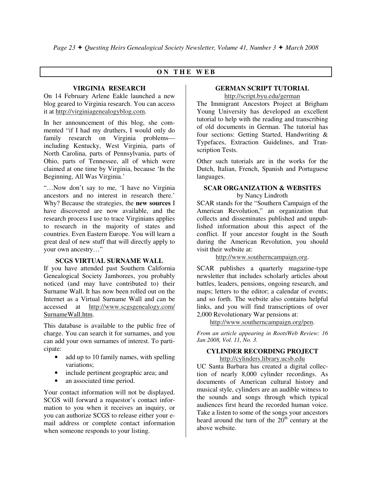# **O N T H E W E B**

## **VIRGINIA RESEARCH**

On 14 February Arlene Eakle launched a new blog geared to Virginia research. You can access it at http://virginiagenealogyblog.com.

In her announcement of this blog, she commented "if I had my druthers, I would only do family research on Virginia problems including Kentucky, West Virginia, parts of North Carolina, parts of Pennsylvania, parts of Ohio, parts of Tennessee, all of which were claimed at one time by Virginia, because 'In the Beginning, All Was Virginia.'

"…Now don't say to me, 'I have no Virginia ancestors and no interest in research there.' Why? Because the strategies, the **new sources** I have discovered are now available, and the research process I use to trace Virginians applies to research in the majority of states and countries. Even Eastern Europe. You will learn a great deal of new stuff that will directly apply to your own ancestry…"

# **SCGS VIRTUAL SURNAME WALL**

If you have attended past Southern California Genealogical Society Jamborees, you probably noticed (and may have contributed to) their Surname Wall. It has now been rolled out on the Internet as a Virtual Surname Wall and can be accessed at http://www.scgsgenealogy.com/ SurnameWall.htm.

This database is available to the public free of charge. You can search it for surnames, and you can add your own surnames of interest. To participate:

- add up to 10 family names, with spelling variations;
- include pertinent geographic area; and
- an associated time period.

Your contact information will not be displayed. SCGS will forward a requestor's contact information to you when it receives an inquiry, or you can authorize SCGS to release either your email address or complete contact information when someone responds to your listing.

# **GERMAN SCRIPT TUTORIAL**

http://script.byu.edu/german

The Immigrant Ancestors Project at Brigham Young University has developed an excellent tutorial to help with the reading and transcribing of old documents in German. The tutorial has four sections: Getting Started, Handwriting & Typefaces, Extraction Guidelines, and Transcription Tests.

Other such tutorials are in the works for the Dutch, Italian, French, Spanish and Portuguese languages.

# **SCAR ORGANIZATION & WEBSITES**

by Nancy Lindroth

SCAR stands for the "Southern Campaign of the American Revolution," an organization that collects and disseminates published and unpublished information about this aspect of the conflict. If your ancestor fought in the South during the American Revolution, you should visit their website at:

http://www.southerncampaign.org.

SCAR publishes a quarterly magazine-type newsletter that includes scholarly articles about battles, leaders, pensions, ongoing research, and maps; letters to the editor; a calendar of events; and so forth. The website also contains helpful links, and you will find transcriptions of over 2,000 Revolutionary War pensions at:

http://www.southerncampaign.org/pen.

*From an article appearing in RootsWeb Review: 16 Jan 2008, Vol. 11, No. 3.* 

# **CYLINDER RECORDING PROJECT**

## http://cylinders.library.ucsb.edu

UC Santa Barbara has created a digital collection of nearly 8,000 cylinder recordings. As documents of American cultural history and musical style, cylinders are an audible witness to the sounds and songs through which typical audiences first heard the recorded human voice. Take a listen to some of the songs your ancestors heard around the turn of the  $20<sup>th</sup>$  century at the above website.